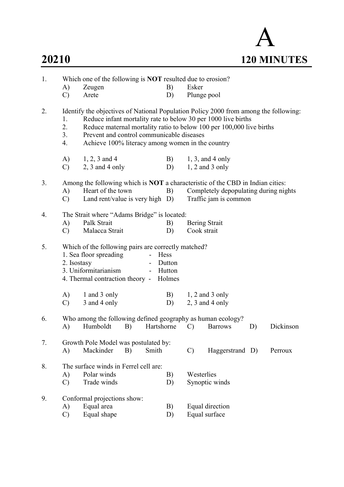

| 1. | Which one of the following is <b>NOT</b> resulted due to erosion? |                                                                                                                                                                                                                                                                                                                                |                                    |                   |                      |    |           |  |  |  |  |
|----|-------------------------------------------------------------------|--------------------------------------------------------------------------------------------------------------------------------------------------------------------------------------------------------------------------------------------------------------------------------------------------------------------------------|------------------------------------|-------------------|----------------------|----|-----------|--|--|--|--|
|    | A)                                                                | Zeugen                                                                                                                                                                                                                                                                                                                         | B)                                 | Esker             |                      |    |           |  |  |  |  |
|    | $\mathcal{C}$                                                     | Arete                                                                                                                                                                                                                                                                                                                          | D)                                 | Plunge pool       |                      |    |           |  |  |  |  |
| 2. | 1.<br>2.<br>3.<br>4.                                              | Identify the objectives of National Population Policy 2000 from among the following:<br>Reduce infant mortality rate to below 30 per 1000 live births<br>Reduce maternal mortality ratio to below 100 per 100,000 live births<br>Prevent and control communicable diseases<br>Achieve 100% literacy among women in the country |                                    |                   |                      |    |           |  |  |  |  |
|    | A)                                                                | $1, 2, 3$ and 4                                                                                                                                                                                                                                                                                                                | B)                                 |                   | $1, 3$ , and 4 only  |    |           |  |  |  |  |
|    | $\mathcal{C}$                                                     | $2, 3$ and 4 only                                                                                                                                                                                                                                                                                                              | D)                                 |                   | $1, 2$ and 3 only    |    |           |  |  |  |  |
| 3. | A)<br>$\mathcal{C}$                                               | Among the following which is <b>NOT</b> a characteristic of the CBD in Indian cities:<br>Heart of the town<br>B)<br>Completely depopulating during nights<br>Land rent/value is very high D)<br>Traffic jam is common                                                                                                          |                                    |                   |                      |    |           |  |  |  |  |
| 4. |                                                                   | The Strait where "Adams Bridge" is located:                                                                                                                                                                                                                                                                                    |                                    |                   |                      |    |           |  |  |  |  |
|    | A)                                                                | Palk Strait                                                                                                                                                                                                                                                                                                                    | B)                                 |                   | <b>Bering Strait</b> |    |           |  |  |  |  |
|    | $\mathcal{C}$                                                     | Malacca Strait                                                                                                                                                                                                                                                                                                                 | D)                                 | Cook strait       |                      |    |           |  |  |  |  |
| 5. | 2. Isostasy                                                       | Which of the following pairs are correctly matched?<br>1. Sea floor spreading<br>3. Uniformitarianism<br>$\overline{\phantom{0}}$<br>4. Thermal contraction theory -                                                                                                                                                           | Hess<br>Dutton<br>Hutton<br>Holmes |                   |                      |    |           |  |  |  |  |
|    | A)                                                                | 1 and 3 only                                                                                                                                                                                                                                                                                                                   | B)                                 |                   | $1, 2$ and 3 only    |    |           |  |  |  |  |
|    | $\mathcal{C}$                                                     | 3 and 4 only                                                                                                                                                                                                                                                                                                                   | D)                                 | $2, 3$ and 4 only |                      |    |           |  |  |  |  |
| 6. | Who among the following defined geography as human ecology?       |                                                                                                                                                                                                                                                                                                                                |                                    |                   |                      |    |           |  |  |  |  |
|    | A)                                                                | Humboldt<br>B)                                                                                                                                                                                                                                                                                                                 | Hartshorne                         | $\mathcal{C}$     | <b>Barrows</b>       | D) | Dickinson |  |  |  |  |
| 7. | A)                                                                | Growth Pole Model was postulated by:<br>Mackinder<br>Smith<br>B)                                                                                                                                                                                                                                                               |                                    | $\mathcal{C}$     | Haggerstrand D)      |    | Perroux   |  |  |  |  |
| 8. |                                                                   | The surface winds in Ferrel cell are:                                                                                                                                                                                                                                                                                          |                                    |                   |                      |    |           |  |  |  |  |
|    | A)                                                                | Polar winds                                                                                                                                                                                                                                                                                                                    | B)                                 | Westerlies        |                      |    |           |  |  |  |  |
|    | $\mathcal{C}$                                                     | Trade winds                                                                                                                                                                                                                                                                                                                    | D)                                 |                   | Synoptic winds       |    |           |  |  |  |  |
| 9. |                                                                   | Conformal projections show:                                                                                                                                                                                                                                                                                                    |                                    |                   |                      |    |           |  |  |  |  |
|    | A)                                                                | Equal area                                                                                                                                                                                                                                                                                                                     | B)                                 |                   | Equal direction      |    |           |  |  |  |  |
|    | $\mathcal{C}$                                                     | Equal shape                                                                                                                                                                                                                                                                                                                    | D)                                 |                   | Equal surface        |    |           |  |  |  |  |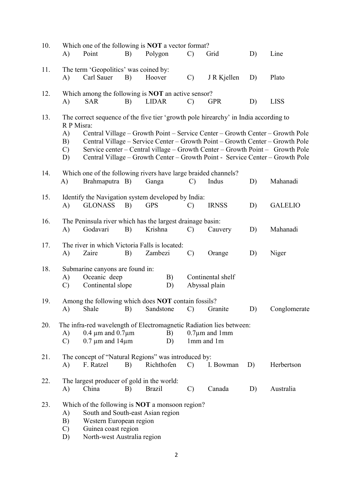| 10. | A)                                                                                                                                            | Point                                                                         | B) | Which one of the following is <b>NOT</b> a vector format?<br>Polygon                        | $\mathcal{C}$ | Grid                              | D) | Line                                                                                                                                                                                                                                            |
|-----|-----------------------------------------------------------------------------------------------------------------------------------------------|-------------------------------------------------------------------------------|----|---------------------------------------------------------------------------------------------|---------------|-----------------------------------|----|-------------------------------------------------------------------------------------------------------------------------------------------------------------------------------------------------------------------------------------------------|
| 11. | A)                                                                                                                                            | The term 'Geopolitics' was coined by:<br>Carl Sauer                           | B) | Hoover                                                                                      | $\mathcal{C}$ | J R Kjellen                       | D) | Plato                                                                                                                                                                                                                                           |
| 12. | A)                                                                                                                                            | <b>SAR</b>                                                                    | B) | Which among the following is <b>NOT</b> an active sensor?<br><b>LIDAR</b>                   | $\mathcal{C}$ | <b>GPR</b>                        | D) | <b>LISS</b>                                                                                                                                                                                                                                     |
| 13. | R P Misra:<br>A)<br>B)<br>$\mathcal{C}$                                                                                                       |                                                                               |    | The correct sequence of the five tier 'growth pole hirearchy' in India according to         |               |                                   |    | Central Village – Growth Point – Service Center – Growth Center – Growth Pole<br>Central Village – Service Center – Growth Point – Growth Center – Growth Pole<br>Service center – Central village – Growth Center – Growth Point – Growth Pole |
|     | D)                                                                                                                                            |                                                                               |    |                                                                                             |               |                                   |    | Central Village – Growth Center – Growth Point - Service Center – Growth Pole                                                                                                                                                                   |
| 14. | A)                                                                                                                                            | Brahmaputra B)                                                                |    | Which one of the following rivers have large braided channels?<br>Ganga                     | $\mathcal{C}$ | Indus                             | D) | Mahanadi                                                                                                                                                                                                                                        |
| 15. | A)                                                                                                                                            | <b>GLONASS</b>                                                                | B) | Identify the Navigation system developed by India:<br><b>GPS</b>                            | $\mathcal{C}$ | <b>IRNSS</b>                      | D) | <b>GALELIO</b>                                                                                                                                                                                                                                  |
| 16. | A)                                                                                                                                            | Godavari                                                                      | B) | The Peninsula river which has the largest drainage basin:<br>Krishna                        | $\mathbf{C}$  | Cauvery                           | D) | Mahanadi                                                                                                                                                                                                                                        |
| 17. | A)                                                                                                                                            | Zaire                                                                         | B) | The river in which Victoria Falls is located:<br>Zambezi                                    | $\mathcal{C}$ | Orange                            | D) | Niger                                                                                                                                                                                                                                           |
| 18. | Submarine canyons are found in:<br>Oceanic deep<br>B)<br>Continental shelf<br>A)<br>Continental slope<br>$\mathcal{C}$<br>D)<br>Abyssal plain |                                                                               |    |                                                                                             |               |                                   |    |                                                                                                                                                                                                                                                 |
| 19. | A)                                                                                                                                            | Shale                                                                         | B) | Among the following which does NOT contain fossils?<br>Sandstone                            | $\mathbf{C}$  | Granite                           | D) | Conglomerate                                                                                                                                                                                                                                    |
| 20. | A)<br>$\mathcal{C}$                                                                                                                           | $0.4 \mu m$ and $0.7 \mu m$<br>$0.7 \mu m$ and $14 \mu m$                     |    | The infra-red wavelength of Electromagnetic Radiation lies between:<br>B)<br>D)             |               | $0.7 \mu m$ and 1mm<br>1mm and 1m |    |                                                                                                                                                                                                                                                 |
| 21. | A)                                                                                                                                            | F. Ratzel                                                                     | B) | The concept of "Natural Regions" was introduced by:<br>Richthofen                           | $\mathcal{C}$ | I. Bowman                         | D) | Herbertson                                                                                                                                                                                                                                      |
| 22. | A)                                                                                                                                            | The largest producer of gold in the world:<br>China                           | B) | <b>Brazil</b>                                                                               | $\mathcal{C}$ | Canada                            | D) | Australia                                                                                                                                                                                                                                       |
| 23. | A)<br>B)<br>$\mathcal{C}$<br>D)                                                                                                               | Western European region<br>Guinea coast region<br>North-west Australia region |    | Which of the following is <b>NOT</b> a monsoon region?<br>South and South-east Asian region |               |                                   |    |                                                                                                                                                                                                                                                 |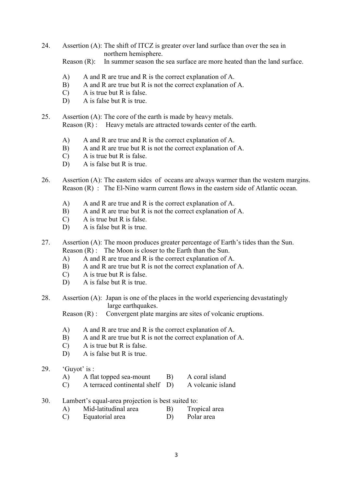24. Assertion (A): The shift of ITCZ is greater over land surface than over the sea in northern hemisphere.

Reason (R): In summer season the sea surface are more heated than the land surface.

- A) A and R are true and R is the correct explanation of A.
- B) A and R are true but R is not the correct explanation of A.
- C) A is true but R is false.
- D) A is false but R is true.
- 25. Assertion (A): The core of the earth is made by heavy metals. Reason (R) : Heavy metals are attracted towards center of the earth.
	- A) A and R are true and R is the correct explanation of A.
	- B) A and R are true but R is not the correct explanation of A.
	- C) A is true but R is false.
	- D) A is false but R is true.
- 26. Assertion (A): The eastern sides of oceans are always warmer than the western margins. Reason (R) : The El-Nino warm current flows in the eastern side of Atlantic ocean.
	- A) A and R are true and R is the correct explanation of A.
	- B) A and R are true but R is not the correct explanation of A.
	- C) A is true but R is false.
	- D) A is false but R is true.

27. Assertion (A): The moon produces greater percentage of Earth's tides than the Sun. Reason (R) : The Moon is closer to the Earth than the Sun.

- A) A and R are true and R is the correct explanation of A.
- B) A and R are true but R is not the correct explanation of A.
- C) A is true but R is false.
- D) A is false but R is true.
- 28. Assertion (A): Japan is one of the places in the world experiencing devastatingly large earthquakes.

Reason (R) : Convergent plate margins are sites of volcanic eruptions.

- A) A and R are true and R is the correct explanation of A.
- B) A and R are true but R is not the correct explanation of A.
- C) A is true but R is false.
- D) A is false but R is true.
- 29. 'Guyot' is :
	- A) A flat topped sea-mount B) A coral island
	- C) A terraced continental shelf D) A volcanic island
- 30. Lambert's equal-area projection is best suited to:
	- A) Mid-latitudinal area B) Tropical area
	- C) Equatorial area D) Polar area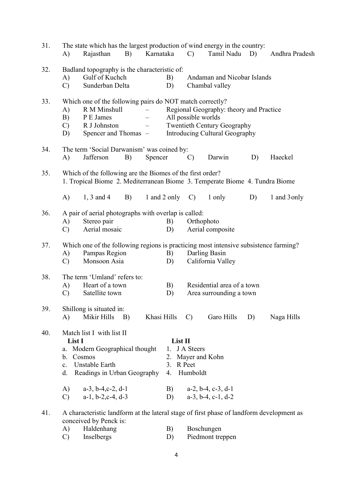| 31. | A)                                                                                                                                                                                           | The state which has the largest production of wind energy in the country:<br>B)<br>Karnataka<br>Rajasthan                                                                             |                                                                                                                                        |              |                                        | $\mathcal{C}$                                                                                                              | Tamil Nadu                                                                          | D) | Andhra Pradesh |  |
|-----|----------------------------------------------------------------------------------------------------------------------------------------------------------------------------------------------|---------------------------------------------------------------------------------------------------------------------------------------------------------------------------------------|----------------------------------------------------------------------------------------------------------------------------------------|--------------|----------------------------------------|----------------------------------------------------------------------------------------------------------------------------|-------------------------------------------------------------------------------------|----|----------------|--|
| 32. | A)<br>$\mathcal{C}$                                                                                                                                                                          | Badland topography is the characteristic of:<br>Gulf of Kuchch<br>Sunderban Delta                                                                                                     |                                                                                                                                        |              | B)<br>D)                               | Andaman and Nicobar Islands<br>Chambal valley                                                                              |                                                                                     |    |                |  |
| 33. | Which one of the following pairs do NOT match correctly?<br>R M Minshull<br>A)<br>B)<br>P E James<br>$\overline{\phantom{0}}$<br>R J Johnston<br>$\mathcal{C}$<br>Spencer and Thomas –<br>D) |                                                                                                                                                                                       | Regional Geography: theory and Practice<br>All possible worlds<br><b>Twentieth Century Geography</b><br>Introducing Cultural Geography |              |                                        |                                                                                                                            |                                                                                     |    |                |  |
| 34. | A)                                                                                                                                                                                           | The term 'Social Darwanism' was coined by:<br>Jafferson<br>B)<br>Spencer                                                                                                              |                                                                                                                                        |              |                                        | $\mathcal{C}$                                                                                                              | Darwin                                                                              | D) | Haeckel        |  |
| 35. |                                                                                                                                                                                              | Which of the following are the Biomes of the first order?<br>1. Tropical Biome 2. Mediterranean Biome 3. Temperate Biome 4. Tundra Biome                                              |                                                                                                                                        |              |                                        |                                                                                                                            |                                                                                     |    |                |  |
|     | A)                                                                                                                                                                                           | $1, 3$ and 4                                                                                                                                                                          | B)                                                                                                                                     | 1 and 2 only |                                        | $\mathcal{C}$                                                                                                              | 1 only                                                                              | D) | 1 and 3 only   |  |
| 36. | A)<br>$\mathcal{C}$                                                                                                                                                                          | A pair of aerial photographs with overlap is called:<br>Stereo pair<br>Aerial mosaic                                                                                                  |                                                                                                                                        |              | B)<br>D)                               |                                                                                                                            | Orthophoto<br>Aerial composite                                                      |    |                |  |
| 37. | A)<br>$\mathcal{C}$                                                                                                                                                                          | Pampas Region<br>Monsoon Asia                                                                                                                                                         |                                                                                                                                        |              | B)<br>D)                               | Which one of the following regions is practicing most intensive subsistence farming?<br>Darling Basin<br>California Valley |                                                                                     |    |                |  |
| 38. | A)<br>$\mathcal{C}$                                                                                                                                                                          | The term 'Umland' refers to:<br>Heart of a town<br>Satellite town                                                                                                                     |                                                                                                                                        |              | B)<br>D)                               | Residential area of a town<br>Area surrounding a town                                                                      |                                                                                     |    |                |  |
| 39. | A)                                                                                                                                                                                           | Shillong is situated in:<br>Mikir Hills B)                                                                                                                                            |                                                                                                                                        | Khasi Hills  |                                        | $\mathcal{C}$                                                                                                              | Garo Hills                                                                          | D) | Naga Hills     |  |
| 40. | List I<br>a.<br>b.<br>c.<br>d.<br>A)<br>$\mathbf{C}$                                                                                                                                         | Match list I with list II<br>Modern Geographical thought<br>Cosmos<br>Unstable Earth<br>Readings in Urban Geography<br>$a-3$ , $b-4$ , $c-2$ , $d-1$<br>$a-1$ , $b-2$ , $c-4$ , $d-3$ |                                                                                                                                        |              | List II<br>3. R Peet<br>4.<br>B)<br>D) | 1. J A Steers<br>Humboldt                                                                                                  | 2. Mayer and Kohn<br>$a-2$ , $b-4$ , $c-3$ , $d-1$<br>$a-3$ , $b-4$ , $c-1$ , $d-2$ |    |                |  |
| 41. |                                                                                                                                                                                              | A characteristic landform at the lateral stage of first phase of landform development as<br>conceived by Penck is:<br>$TT - 1.1$ .                                                    |                                                                                                                                        |              |                                        |                                                                                                                            |                                                                                     |    |                |  |

| A) | Haldenhang | B) | Boschungen       |
|----|------------|----|------------------|
|    | Inselbergs |    | Piedmont treppen |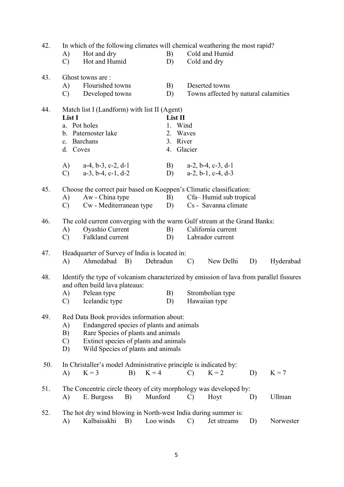| 42. | In which of the following climates will chemical weathering the most rapid?<br>Hot and dry<br>A)<br>Hot and Humid<br>$\mathcal{C}$                                                                                                            |                                                                                                                                                            |    |                                                                                                                                   | Cold and Humid<br>B)<br>Cold and dry<br>D) |                                |                                                       |  |                                   |    |                                      |
|-----|-----------------------------------------------------------------------------------------------------------------------------------------------------------------------------------------------------------------------------------------------|------------------------------------------------------------------------------------------------------------------------------------------------------------|----|-----------------------------------------------------------------------------------------------------------------------------------|--------------------------------------------|--------------------------------|-------------------------------------------------------|--|-----------------------------------|----|--------------------------------------|
| 43. | A)<br>$\mathcal{C}$                                                                                                                                                                                                                           | Ghost towns are :<br>Flourished towns<br>Developed towns                                                                                                   |    |                                                                                                                                   | B)<br>D)                                   |                                | Deserted towns                                        |  |                                   |    | Towns affected by natural calamities |
| 44. | Match list I (Landform) with list II (Agent)<br>List I<br>a. Pot holes<br>b. Paternoster lake<br>c. Barchans<br>d. Coves                                                                                                                      |                                                                                                                                                            |    |                                                                                                                                   |                                            | List II<br>1. Wind<br>3. River | 2. Waves<br>4. Glacier                                |  |                                   |    |                                      |
|     | A)<br>$\mathcal{C}$                                                                                                                                                                                                                           | $a-4$ , $b-3$ , $c-2$ , $d-1$<br>$a-3$ , $b-4$ , $c-1$ , $d-2$                                                                                             |    |                                                                                                                                   | B)<br>D)                                   |                                | $a-2$ , $b-4$ , $c-3$ , $d-1$<br>$a-2, b-1, c-4, d-3$ |  |                                   |    |                                      |
| 45. | A)<br>$\mathcal{C}$                                                                                                                                                                                                                           | Aw - China type<br>Cw - Mediterranean type                                                                                                                 |    | Choose the correct pair based on Koeppen's Climatic classification:<br>Cfa-Humid sub tropical<br>B)<br>Cs - Savanna climate<br>D) |                                            |                                |                                                       |  |                                   |    |                                      |
| 46. | $\bf{A}$<br>$\mathbf{C}$                                                                                                                                                                                                                      | The cold current converging with the warm Gulf stream at the Grand Banks:<br>Oyashio Current<br>Falkland current                                           |    |                                                                                                                                   | B)<br>D)                                   |                                | Labrador current                                      |  | California current                |    |                                      |
| 47. | A)                                                                                                                                                                                                                                            | Headquarter of Survey of India is located in:<br>Ahmedabad B)                                                                                              |    | Dehradun                                                                                                                          |                                            |                                | $\mathcal{C}$                                         |  | New Delhi                         | D) | Hyderabad                            |
| 48. | A)<br>$\mathcal{C}$                                                                                                                                                                                                                           | Identify the type of volcanism characterized by emission of lava from parallel fissures<br>and often build lava plateaus:<br>Pelean type<br>Icelandic type |    |                                                                                                                                   | B)<br>D)                                   |                                |                                                       |  | Strombolian type<br>Hawaiian type |    |                                      |
| 49. | Red Data Book provides information about:<br>Endangered species of plants and animals<br>A)<br>B)<br>Rare Species of plants and animals<br>Extinct species of plants and animals<br>$\mathcal{C}$<br>Wild Species of plants and animals<br>D) |                                                                                                                                                            |    |                                                                                                                                   |                                            |                                |                                                       |  |                                   |    |                                      |
| 50. | A)                                                                                                                                                                                                                                            | In Christaller's model Administrative principle is indicated by:<br>$K = 3$                                                                                | B) | $K = 4$                                                                                                                           |                                            |                                | $\mathcal{C}$                                         |  | $K = 2$                           | D) | $K = 7$                              |
| 51. | A)                                                                                                                                                                                                                                            | The Concentric circle theory of city morphology was developed by:<br>E. Burgess                                                                            | B) | Munford                                                                                                                           |                                            |                                | $\mathcal{C}$                                         |  | Hoyt                              | D) | <b>Ullman</b>                        |
| 52. | A)                                                                                                                                                                                                                                            | The hot dry wind blowing in North-west India during summer is:<br>Kalbaisakhi                                                                              | B) | Loo winds                                                                                                                         |                                            |                                | $\mathcal{C}$                                         |  | Jet streams                       | D) | Norwester                            |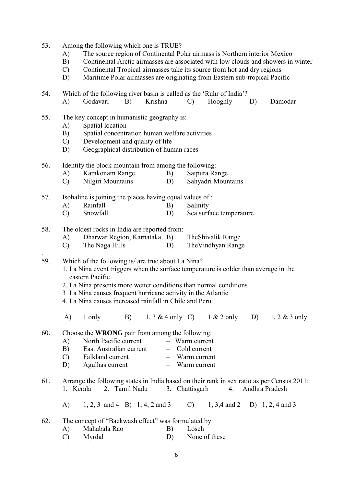- 53. Among the following which one is TRUE?
	- A) The source region of Continental Polar airmass is Northern interior Mexico
	- B) Continental Arctic airmasses are associated with low clouds and showers in winter
	- C) Continental Tropical airmasses take its source from hot and dry regions
	- D) Maritime Polar airmasses are originating from Eastern sub-tropical Pacific

54. Which of the following river basin is called as the 'Ruhr of India'? A) Godavari B) Krishna C) Hooghly D) Damodar

- 55. The key concept in humanistic geography is:
	- A) Spatial location
	- B) Spatial concentration human welfare activities
	- C) Development and quality of life
	- D) Geographical distribution of human races

56. Identify the block mountain from among the following:

- A) Karakonam Range B) Satpura Range
- C) Nilgiri Mountains D) Sahyadri Mountains

57. Isohaline is joining the places having equal values of :

- A) Rainfall B) Salinity
- C) Snowfall D) Sea surface temperature
- 58. The oldest rocks in India are reported from:

.

- A) Dharwar Region, Karnataka B) TheShivalik Range
- C) The Naga Hills D) The Vindhyan Range
- 59. Which of the following is/ are true about La Nina?
	- 1. La Nina event triggers when the surface temperature is colder than average in the eastern Pacific
	- 2. La Nina presents more wetter conditions than normal conditions
	- 3 La Nina causes frequent hurricane activity in the Atlantic
	- 4. La Nina causes increased rainfall in Chile and Peru.

A) 1 only B) 1, 3 & 4 only C) 1 & 2 only D) 1, 2 & 3 only

60. Choose the WRONG pair from among the following:

- A) North Pacific current Warm current B) East Australian current – Cold current C) Falkland current – Warm current
- D) Agulhas current Warm current
- 

## 61. Arrange the following states in India based on their rank in sex ratio as per Census 2011: 1. Kerala 2. Tamil Nadu 3. Chattisgarh 4. Andhra Pradesh

A) 1, 2, 3 and 4 B) 1, 4, 2 and 3 C) 1, 3,4 and 2 D) 1, 2, 4 and 3

62. The concept of "Backwash effect" was formulated by:

| Mahabala Rao | Losch         |
|--------------|---------------|
| Myrdal       | None of these |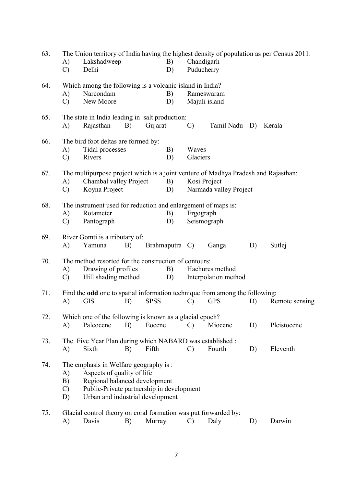| A)            |                                                                                                                                   |                                                                     |                                                                                                | B)                                                                                                                            |                                                                                                                                                  |                                                                                                                                                                  |                                                                                                                                                                                                                                                                                                                                                                                                                                                                                                                                                |                                                                                                                                                                                                                                                                                                                                               |  |  |
|---------------|-----------------------------------------------------------------------------------------------------------------------------------|---------------------------------------------------------------------|------------------------------------------------------------------------------------------------|-------------------------------------------------------------------------------------------------------------------------------|--------------------------------------------------------------------------------------------------------------------------------------------------|------------------------------------------------------------------------------------------------------------------------------------------------------------------|------------------------------------------------------------------------------------------------------------------------------------------------------------------------------------------------------------------------------------------------------------------------------------------------------------------------------------------------------------------------------------------------------------------------------------------------------------------------------------------------------------------------------------------------|-----------------------------------------------------------------------------------------------------------------------------------------------------------------------------------------------------------------------------------------------------------------------------------------------------------------------------------------------|--|--|
|               |                                                                                                                                   |                                                                     |                                                                                                |                                                                                                                               |                                                                                                                                                  |                                                                                                                                                                  |                                                                                                                                                                                                                                                                                                                                                                                                                                                                                                                                                |                                                                                                                                                                                                                                                                                                                                               |  |  |
|               |                                                                                                                                   |                                                                     |                                                                                                |                                                                                                                               |                                                                                                                                                  |                                                                                                                                                                  |                                                                                                                                                                                                                                                                                                                                                                                                                                                                                                                                                |                                                                                                                                                                                                                                                                                                                                               |  |  |
| A)            | Narcondam                                                                                                                         |                                                                     |                                                                                                | B)                                                                                                                            |                                                                                                                                                  |                                                                                                                                                                  |                                                                                                                                                                                                                                                                                                                                                                                                                                                                                                                                                |                                                                                                                                                                                                                                                                                                                                               |  |  |
| $\mathcal{C}$ | New Moore                                                                                                                         |                                                                     |                                                                                                | D)                                                                                                                            |                                                                                                                                                  |                                                                                                                                                                  |                                                                                                                                                                                                                                                                                                                                                                                                                                                                                                                                                |                                                                                                                                                                                                                                                                                                                                               |  |  |
|               |                                                                                                                                   |                                                                     |                                                                                                |                                                                                                                               |                                                                                                                                                  |                                                                                                                                                                  |                                                                                                                                                                                                                                                                                                                                                                                                                                                                                                                                                |                                                                                                                                                                                                                                                                                                                                               |  |  |
|               |                                                                                                                                   |                                                                     |                                                                                                |                                                                                                                               |                                                                                                                                                  |                                                                                                                                                                  |                                                                                                                                                                                                                                                                                                                                                                                                                                                                                                                                                |                                                                                                                                                                                                                                                                                                                                               |  |  |
|               |                                                                                                                                   |                                                                     |                                                                                                |                                                                                                                               |                                                                                                                                                  |                                                                                                                                                                  |                                                                                                                                                                                                                                                                                                                                                                                                                                                                                                                                                | Kerala                                                                                                                                                                                                                                                                                                                                        |  |  |
|               |                                                                                                                                   |                                                                     |                                                                                                |                                                                                                                               |                                                                                                                                                  |                                                                                                                                                                  |                                                                                                                                                                                                                                                                                                                                                                                                                                                                                                                                                |                                                                                                                                                                                                                                                                                                                                               |  |  |
| A)            |                                                                                                                                   |                                                                     |                                                                                                | B)                                                                                                                            |                                                                                                                                                  |                                                                                                                                                                  |                                                                                                                                                                                                                                                                                                                                                                                                                                                                                                                                                |                                                                                                                                                                                                                                                                                                                                               |  |  |
| $\mathcal{C}$ | Rivers                                                                                                                            |                                                                     |                                                                                                | D)                                                                                                                            |                                                                                                                                                  |                                                                                                                                                                  |                                                                                                                                                                                                                                                                                                                                                                                                                                                                                                                                                |                                                                                                                                                                                                                                                                                                                                               |  |  |
|               |                                                                                                                                   |                                                                     |                                                                                                |                                                                                                                               |                                                                                                                                                  |                                                                                                                                                                  |                                                                                                                                                                                                                                                                                                                                                                                                                                                                                                                                                |                                                                                                                                                                                                                                                                                                                                               |  |  |
|               |                                                                                                                                   |                                                                     |                                                                                                |                                                                                                                               |                                                                                                                                                  |                                                                                                                                                                  |                                                                                                                                                                                                                                                                                                                                                                                                                                                                                                                                                |                                                                                                                                                                                                                                                                                                                                               |  |  |
|               | Koyna Project                                                                                                                     |                                                                     |                                                                                                |                                                                                                                               |                                                                                                                                                  |                                                                                                                                                                  |                                                                                                                                                                                                                                                                                                                                                                                                                                                                                                                                                |                                                                                                                                                                                                                                                                                                                                               |  |  |
|               |                                                                                                                                   |                                                                     |                                                                                                |                                                                                                                               |                                                                                                                                                  |                                                                                                                                                                  |                                                                                                                                                                                                                                                                                                                                                                                                                                                                                                                                                |                                                                                                                                                                                                                                                                                                                                               |  |  |
|               |                                                                                                                                   |                                                                     |                                                                                                |                                                                                                                               |                                                                                                                                                  |                                                                                                                                                                  |                                                                                                                                                                                                                                                                                                                                                                                                                                                                                                                                                |                                                                                                                                                                                                                                                                                                                                               |  |  |
|               |                                                                                                                                   |                                                                     |                                                                                                |                                                                                                                               |                                                                                                                                                  |                                                                                                                                                                  |                                                                                                                                                                                                                                                                                                                                                                                                                                                                                                                                                |                                                                                                                                                                                                                                                                                                                                               |  |  |
|               |                                                                                                                                   |                                                                     |                                                                                                |                                                                                                                               |                                                                                                                                                  |                                                                                                                                                                  |                                                                                                                                                                                                                                                                                                                                                                                                                                                                                                                                                |                                                                                                                                                                                                                                                                                                                                               |  |  |
|               |                                                                                                                                   |                                                                     |                                                                                                |                                                                                                                               |                                                                                                                                                  |                                                                                                                                                                  |                                                                                                                                                                                                                                                                                                                                                                                                                                                                                                                                                |                                                                                                                                                                                                                                                                                                                                               |  |  |
| A)            | Yamuna                                                                                                                            | B)                                                                  |                                                                                                |                                                                                                                               |                                                                                                                                                  | Ganga                                                                                                                                                            | D)                                                                                                                                                                                                                                                                                                                                                                                                                                                                                                                                             | Sutlej                                                                                                                                                                                                                                                                                                                                        |  |  |
|               |                                                                                                                                   |                                                                     |                                                                                                |                                                                                                                               |                                                                                                                                                  |                                                                                                                                                                  |                                                                                                                                                                                                                                                                                                                                                                                                                                                                                                                                                |                                                                                                                                                                                                                                                                                                                                               |  |  |
|               |                                                                                                                                   |                                                                     |                                                                                                |                                                                                                                               |                                                                                                                                                  |                                                                                                                                                                  |                                                                                                                                                                                                                                                                                                                                                                                                                                                                                                                                                |                                                                                                                                                                                                                                                                                                                                               |  |  |
|               |                                                                                                                                   |                                                                     |                                                                                                |                                                                                                                               |                                                                                                                                                  |                                                                                                                                                                  |                                                                                                                                                                                                                                                                                                                                                                                                                                                                                                                                                |                                                                                                                                                                                                                                                                                                                                               |  |  |
|               |                                                                                                                                   |                                                                     |                                                                                                |                                                                                                                               |                                                                                                                                                  |                                                                                                                                                                  |                                                                                                                                                                                                                                                                                                                                                                                                                                                                                                                                                |                                                                                                                                                                                                                                                                                                                                               |  |  |
|               |                                                                                                                                   |                                                                     |                                                                                                |                                                                                                                               |                                                                                                                                                  |                                                                                                                                                                  |                                                                                                                                                                                                                                                                                                                                                                                                                                                                                                                                                |                                                                                                                                                                                                                                                                                                                                               |  |  |
| A)            | <b>GIS</b>                                                                                                                        | B)                                                                  | <b>SPSS</b>                                                                                    |                                                                                                                               | $\mathcal{C}$                                                                                                                                    | <b>GPS</b>                                                                                                                                                       | D)                                                                                                                                                                                                                                                                                                                                                                                                                                                                                                                                             | Remote sensing                                                                                                                                                                                                                                                                                                                                |  |  |
|               |                                                                                                                                   |                                                                     |                                                                                                |                                                                                                                               |                                                                                                                                                  |                                                                                                                                                                  |                                                                                                                                                                                                                                                                                                                                                                                                                                                                                                                                                |                                                                                                                                                                                                                                                                                                                                               |  |  |
|               |                                                                                                                                   |                                                                     |                                                                                                |                                                                                                                               |                                                                                                                                                  |                                                                                                                                                                  |                                                                                                                                                                                                                                                                                                                                                                                                                                                                                                                                                | Pleistocene                                                                                                                                                                                                                                                                                                                                   |  |  |
|               |                                                                                                                                   |                                                                     |                                                                                                |                                                                                                                               |                                                                                                                                                  |                                                                                                                                                                  |                                                                                                                                                                                                                                                                                                                                                                                                                                                                                                                                                |                                                                                                                                                                                                                                                                                                                                               |  |  |
|               |                                                                                                                                   |                                                                     |                                                                                                |                                                                                                                               |                                                                                                                                                  |                                                                                                                                                                  |                                                                                                                                                                                                                                                                                                                                                                                                                                                                                                                                                |                                                                                                                                                                                                                                                                                                                                               |  |  |
| A)            | Sixth                                                                                                                             | B)                                                                  | Fifth                                                                                          |                                                                                                                               | $\mathcal{C}$                                                                                                                                    | Fourth                                                                                                                                                           | D)                                                                                                                                                                                                                                                                                                                                                                                                                                                                                                                                             | Eleventh                                                                                                                                                                                                                                                                                                                                      |  |  |
|               |                                                                                                                                   |                                                                     |                                                                                                |                                                                                                                               |                                                                                                                                                  |                                                                                                                                                                  |                                                                                                                                                                                                                                                                                                                                                                                                                                                                                                                                                |                                                                                                                                                                                                                                                                                                                                               |  |  |
|               |                                                                                                                                   |                                                                     |                                                                                                |                                                                                                                               |                                                                                                                                                  |                                                                                                                                                                  |                                                                                                                                                                                                                                                                                                                                                                                                                                                                                                                                                |                                                                                                                                                                                                                                                                                                                                               |  |  |
|               |                                                                                                                                   |                                                                     |                                                                                                |                                                                                                                               |                                                                                                                                                  |                                                                                                                                                                  |                                                                                                                                                                                                                                                                                                                                                                                                                                                                                                                                                |                                                                                                                                                                                                                                                                                                                                               |  |  |
|               |                                                                                                                                   |                                                                     |                                                                                                |                                                                                                                               |                                                                                                                                                  |                                                                                                                                                                  |                                                                                                                                                                                                                                                                                                                                                                                                                                                                                                                                                |                                                                                                                                                                                                                                                                                                                                               |  |  |
| D)            | Urban and industrial development                                                                                                  |                                                                     |                                                                                                |                                                                                                                               |                                                                                                                                                  |                                                                                                                                                                  |                                                                                                                                                                                                                                                                                                                                                                                                                                                                                                                                                |                                                                                                                                                                                                                                                                                                                                               |  |  |
|               |                                                                                                                                   |                                                                     |                                                                                                |                                                                                                                               |                                                                                                                                                  |                                                                                                                                                                  |                                                                                                                                                                                                                                                                                                                                                                                                                                                                                                                                                |                                                                                                                                                                                                                                                                                                                                               |  |  |
|               |                                                                                                                                   |                                                                     |                                                                                                |                                                                                                                               |                                                                                                                                                  |                                                                                                                                                                  |                                                                                                                                                                                                                                                                                                                                                                                                                                                                                                                                                |                                                                                                                                                                                                                                                                                                                                               |  |  |
|               |                                                                                                                                   |                                                                     |                                                                                                |                                                                                                                               |                                                                                                                                                  |                                                                                                                                                                  |                                                                                                                                                                                                                                                                                                                                                                                                                                                                                                                                                | Darwin                                                                                                                                                                                                                                                                                                                                        |  |  |
|               | $\mathcal{C}$<br>A)<br>A)<br>$\mathcal{C}$<br>A)<br>$\mathcal{C}$<br>A)<br>$\mathcal{C}$<br>A)<br>A)<br>B)<br>$\mathcal{C}$<br>A) | Delhi<br>Rajasthan<br>Rotameter<br>Pantograph<br>Paleocene<br>Davis | Lakshadweep<br>B)<br>Tidal processes<br>Drawing of profiles<br>Hill shading method<br>B)<br>B) | The bird foot deltas are formed by:<br>Chambal valley Project<br>River Gomti is a tributary of:<br>Aspects of quality of life | D)<br>Gujarat<br>B)<br>D)<br>B)<br>D)<br>B)<br>D)<br>Eocene<br>The emphasis in Welfare geography is :<br>Regional balanced development<br>Murray | The state in India leading in salt production:<br>$\mathcal{C}$<br>Brahmaputra C)<br>$\mathcal{C}$<br>Public-Private partnership in development<br>$\mathcal{C}$ | Chandigarh<br>Puducherry<br>Which among the following is a volcanic island in India?<br>Rameswaram<br>Majuli island<br>Waves<br>Glaciers<br>Kosi Project<br>The instrument used for reduction and enlargement of maps is:<br>Ergograph<br>Seismograph<br>The method resorted for the construction of contours:<br>Hachures method<br>Which one of the following is known as a glacial epoch?<br>Miocene<br>The Five Year Plan during which NABARD was established :<br>Glacial control theory on coral formation was put forwarded by:<br>Daly | The Union territory of India having the highest density of population as per Census 2011:<br>Tamil Nadu D)<br>The multipurpose project which is a joint venture of Madhya Pradesh and Rajasthan:<br>Narmada valley Project<br>Interpolation method<br>Find the odd one to spatial information technique from among the following:<br>D)<br>D) |  |  |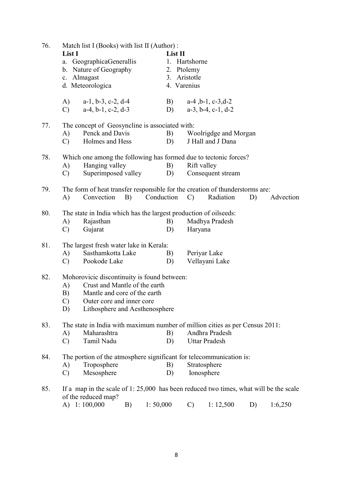| 76. | Match list I (Books) with list II (Author) :<br>List I<br>a. GeographicaGenerallis<br>b. Nature of Geography<br>c. Almagast<br>d. Meteorologica                                                                | List II<br>1. Hartshorne<br>2. Ptolemy<br>3. Aristotle<br>4. Varenius                                                                  |  |  |  |  |  |  |
|-----|----------------------------------------------------------------------------------------------------------------------------------------------------------------------------------------------------------------|----------------------------------------------------------------------------------------------------------------------------------------|--|--|--|--|--|--|
|     | A)<br>$a-1$ , $b-3$ , $c-2$ , $d-4$<br>$a-4$ , $b-1$ , $c-2$ , $d-3$<br>$\mathcal{C}$                                                                                                                          | B)<br>$a-4$ , $b-1$ , $c-3$ , $d-2$<br>$a-3$ , $b-4$ , $c-1$ , $d-2$<br>D)                                                             |  |  |  |  |  |  |
| 77. | The concept of Geosyncline is associated with:<br>Penck and Davis<br>A)<br>Holmes and Hess<br>$\mathbf{C}$                                                                                                     | B)<br>Woolrigdge and Morgan<br>J Hall and J Dana<br>D)                                                                                 |  |  |  |  |  |  |
| 78. | Which one among the following has formed due to tectonic forces?<br>Hanging valley<br>A)<br>Superimposed valley<br>$\mathcal{C}$                                                                               | B)<br>Rift valley<br>D)<br>Consequent stream                                                                                           |  |  |  |  |  |  |
| 79. | Convection B)<br>A)                                                                                                                                                                                            | The form of heat transfer responsible for the creation of thunderstorms are:<br>Conduction C)<br>Radiation<br>D)<br>Advection          |  |  |  |  |  |  |
| 80. | The state in India which has the largest production of oilseeds:<br>Rajasthan<br>A)<br>Gujarat<br>$\mathcal{C}$                                                                                                | Madhya Pradesh<br>B)<br>Haryana<br>D)                                                                                                  |  |  |  |  |  |  |
| 81. | The largest fresh water lake in Kerala:<br>Sasthamkotta Lake<br>A)<br>Pookode Lake<br>$\mathcal{C}$                                                                                                            | Periyar Lake<br>B)<br>Vellayani Lake<br>D)                                                                                             |  |  |  |  |  |  |
| 82. | Mohorovicic discontinuity is found between:<br>Crust and Mantle of the earth<br>A)<br>Mantle and core of the earth<br>B)<br>$\mathcal{C}$<br>Outer core and inner core<br>Lithosphere and Aesthenosphere<br>D) |                                                                                                                                        |  |  |  |  |  |  |
| 83. | Maharashtra<br>A)<br>Tamil Nadu<br>$\mathcal{C}$                                                                                                                                                               | The state in India with maximum number of million cities as per Census 2011:<br>Andhra Pradesh<br>B)<br><b>Uttar Pradesh</b><br>D)     |  |  |  |  |  |  |
| 84. | The portion of the atmosphere significant for telecommunication is:<br>Troposphere<br>A)<br>Mesosphere<br>$\mathcal{C}$                                                                                        | Stratosphere<br>B)<br>Ionosphere<br>D)                                                                                                 |  |  |  |  |  |  |
| 85. | of the reduced map?<br>A) 1:100,000<br>1:50,000<br>B)                                                                                                                                                          | If a map in the scale of $1: 25,000$ has been reduced two times, what will be the scale<br>1: 12,500<br>1:6,250<br>$\mathcal{C}$<br>D) |  |  |  |  |  |  |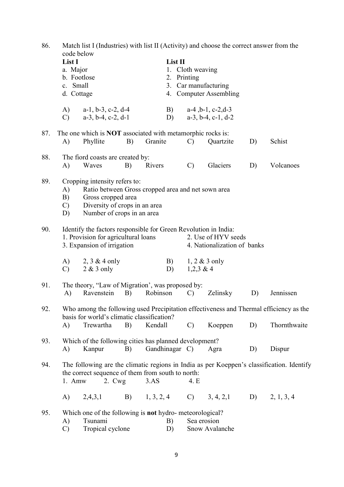| 86. |                            | Match list I (Industries) with list II (Activity) and choose the correct answer from the<br>code below |    |                                                                   |                        |                               |    |                                                                                           |  |  |  |  |  |
|-----|----------------------------|--------------------------------------------------------------------------------------------------------|----|-------------------------------------------------------------------|------------------------|-------------------------------|----|-------------------------------------------------------------------------------------------|--|--|--|--|--|
|     | List I                     |                                                                                                        |    | List II                                                           |                        |                               |    |                                                                                           |  |  |  |  |  |
|     | a. Major                   |                                                                                                        |    |                                                                   | 1. Cloth weaving       |                               |    |                                                                                           |  |  |  |  |  |
|     |                            | b. Footlose                                                                                            |    |                                                                   | 2. Printing            |                               |    |                                                                                           |  |  |  |  |  |
|     | c. Small                   |                                                                                                        |    |                                                                   |                        | 3. Car manufacturing          |    |                                                                                           |  |  |  |  |  |
|     |                            | d. Cottage                                                                                             |    |                                                                   | 4. Computer Assembling |                               |    |                                                                                           |  |  |  |  |  |
|     | (A)                        | $a-1$ , $b-3$ , $c-2$ , $d-4$                                                                          |    | B)                                                                |                        | $a-4$ , $b-1$ , $c-2$ , $d-3$ |    |                                                                                           |  |  |  |  |  |
|     | $\mathcal{C}$              | $a-3$ , $b-4$ , $c-2$ , $d-1$                                                                          |    | D)                                                                |                        | $a-3$ , $b-4$ , $c-1$ , $d-2$ |    |                                                                                           |  |  |  |  |  |
| 87. |                            |                                                                                                        |    | The one which is <b>NOT</b> associated with metamorphic rocks is: |                        |                               |    |                                                                                           |  |  |  |  |  |
|     | A)                         | Phyllite                                                                                               | B) | Granite                                                           | $\mathcal{C}$          | Quartzite                     | D) | Schist                                                                                    |  |  |  |  |  |
| 88. |                            | The fiord coasts are created by:                                                                       |    |                                                                   |                        |                               |    |                                                                                           |  |  |  |  |  |
|     | A)                         | Waves                                                                                                  | B) | Rivers                                                            | $\mathcal{C}$          | Glaciers                      | D) | Volcanoes                                                                                 |  |  |  |  |  |
| 89. |                            | Cropping intensity refers to:                                                                          |    |                                                                   |                        |                               |    |                                                                                           |  |  |  |  |  |
|     | A)                         | Ratio between Gross cropped area and net sown area<br>Gross cropped area                               |    |                                                                   |                        |                               |    |                                                                                           |  |  |  |  |  |
|     | B)                         |                                                                                                        |    |                                                                   |                        |                               |    |                                                                                           |  |  |  |  |  |
|     | $\mathbf{C}$               | Diversity of crops in an area                                                                          |    |                                                                   |                        |                               |    |                                                                                           |  |  |  |  |  |
|     | D)                         | Number of crops in an area                                                                             |    |                                                                   |                        |                               |    |                                                                                           |  |  |  |  |  |
| 90. |                            |                                                                                                        |    | Identify the factors responsible for Green Revolution in India:   |                        |                               |    |                                                                                           |  |  |  |  |  |
|     |                            | 1. Provision for agricultural loans                                                                    |    |                                                                   |                        | 2. Use of HYV seeds           |    |                                                                                           |  |  |  |  |  |
|     | 3. Expansion of irrigation |                                                                                                        |    |                                                                   |                        | 4. Nationalization of banks   |    |                                                                                           |  |  |  |  |  |
|     |                            | (A)<br>$2, 3 \& 4$ only                                                                                |    |                                                                   | B)                     | $1, 2 \& 3$ only              |    |                                                                                           |  |  |  |  |  |
|     | $\mathcal{C}$              | $2 & 3$ only                                                                                           |    | D)                                                                | $1,2,3 \& 4$           |                               |    |                                                                                           |  |  |  |  |  |
| 91. |                            | The theory, "Law of Migration', was proposed by:                                                       |    |                                                                   |                        |                               |    |                                                                                           |  |  |  |  |  |
|     | A)                         | Ravenstein                                                                                             | B) | Robinson                                                          | $\mathcal{C}$          | Zelinsky                      | D) | Jennissen                                                                                 |  |  |  |  |  |
| 92. |                            | Who among the following used Precipitation effectiveness and Thermal efficiency as the                 |    |                                                                   |                        |                               |    |                                                                                           |  |  |  |  |  |
|     |                            | basis for world's climatic classification?                                                             |    |                                                                   |                        |                               |    |                                                                                           |  |  |  |  |  |
|     | A)                         | Trewartha                                                                                              | B) | Kendall                                                           | $\mathcal{C}$          | Koeppen                       | D) | Thornthwaite                                                                              |  |  |  |  |  |
| 93. |                            |                                                                                                        |    | Which of the following cities has planned development?            |                        |                               |    |                                                                                           |  |  |  |  |  |
|     | A)                         | Kanpur                                                                                                 | B) | Gandhinagar C)                                                    |                        | Agra                          | D) | Dispur                                                                                    |  |  |  |  |  |
| 94. |                            |                                                                                                        |    |                                                                   |                        |                               |    | The following are the climatic regions in India as per Koeppen's classification. Identify |  |  |  |  |  |
|     |                            |                                                                                                        |    | the correct sequence of them from south to north:                 |                        |                               |    |                                                                                           |  |  |  |  |  |
|     | 1. Amw                     | $2. \,$ Cwg                                                                                            |    | 3.AS                                                              | 4. E                   |                               |    |                                                                                           |  |  |  |  |  |
|     | A)                         | 2,4,3,1                                                                                                |    | B) $1, 3, 2, 4$ C) $3, 4, 2, 1$ D) $2, 1, 3, 4$                   |                        |                               |    |                                                                                           |  |  |  |  |  |
| 95. |                            |                                                                                                        |    | Which one of the following is not hydro-meteorological?           |                        |                               |    |                                                                                           |  |  |  |  |  |
|     | A)                         | Tsunami                                                                                                |    | B)                                                                |                        | Sea erosion                   |    |                                                                                           |  |  |  |  |  |
|     | $\mathcal{C}$              | Tropical cyclone                                                                                       |    | D)                                                                | Snow Avalanche         |                               |    |                                                                                           |  |  |  |  |  |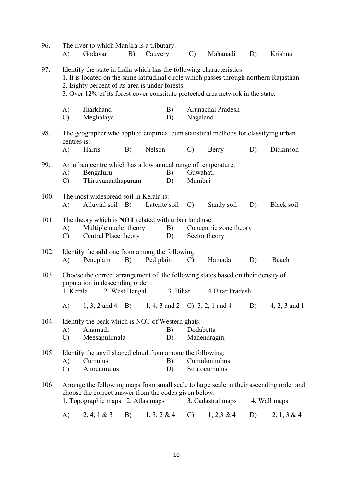| 96.  | A)                                                                                                                                                                                                                         | The river to which Manjira is a tributary:<br>Godavari                                                                                                                                                                                                                                                | B) | Cauvery                                                                                      |          | $\mathcal{C}$      | Mahanadi                                | D) | Krishna           |  |
|------|----------------------------------------------------------------------------------------------------------------------------------------------------------------------------------------------------------------------------|-------------------------------------------------------------------------------------------------------------------------------------------------------------------------------------------------------------------------------------------------------------------------------------------------------|----|----------------------------------------------------------------------------------------------|----------|--------------------|-----------------------------------------|----|-------------------|--|
| 97.  |                                                                                                                                                                                                                            | Identify the state in India which has the following characteristics:<br>1. It is located on the same latitudinal circle which passes through northern Rajasthan<br>2. Eighty percent of its area is under forests.<br>3. Over 12% of its forest cover constitute protected area network in the state. |    |                                                                                              |          |                    |                                         |    |                   |  |
|      | A)<br>$\mathcal{C}$                                                                                                                                                                                                        | Jharkhand<br>Meghalaya                                                                                                                                                                                                                                                                                |    |                                                                                              | B)<br>D) | Nagaland           | Arunachal Pradesh                       |    |                   |  |
| 98.  | centres is:<br>A)                                                                                                                                                                                                          | Harris                                                                                                                                                                                                                                                                                                | B) | The geographer who applied empirical cum statistical methods for classifying urban<br>Nelson |          | $\mathcal{C}$      | Berry                                   | D) | Dickinson         |  |
| 99.  | An urban centre which has a low annual range of temperature:<br>Bengaluru<br>B)<br>A)<br>Thiruvananthapuram<br>$\mathcal{C}$<br>D)                                                                                         |                                                                                                                                                                                                                                                                                                       |    |                                                                                              |          | Guwahati<br>Mumbai |                                         |    |                   |  |
| 100. | The most widespread soil in Kerala is:<br>Alluvial soil B)<br>Laterite soil<br>A)                                                                                                                                          |                                                                                                                                                                                                                                                                                                       |    |                                                                                              |          | $\mathcal{C}$      | Sandy soil                              | D) | <b>Black soil</b> |  |
| 101. | A)<br>$\mathcal{C}$                                                                                                                                                                                                        | The theory which is <b>NOT</b> related with urban land use:<br>Multiple nuclei theory<br>B)<br>Central Place theory<br>D)                                                                                                                                                                             |    |                                                                                              |          |                    | Concentric zone theory<br>Sector theory |    |                   |  |
| 102. | A)                                                                                                                                                                                                                         | Identify the odd one from among the following:<br>Peneplain                                                                                                                                                                                                                                           | B) | Pediplain                                                                                    |          | $\mathbf{C}$       | Hamada                                  | D) | Beach             |  |
| 103. | Choose the correct arrangement of the following states based on their density of<br>population in descending order :<br>1. Kerala<br>2. West Bengal<br>3. Bihar                                                            |                                                                                                                                                                                                                                                                                                       |    |                                                                                              |          | 4. Uttar Pradesh   |                                         |    |                   |  |
|      | A)                                                                                                                                                                                                                         | $1, 3, 2$ and $4$ B)                                                                                                                                                                                                                                                                                  |    |                                                                                              |          |                    | 1, 4, 3 and 2 C) 3, 2, 1 and 4          | D) | $4, 2, 3$ and 1   |  |
| 104. | A)<br>$\mathcal{C}$                                                                                                                                                                                                        | Identify the peak which is NOT of Western ghats:<br>Anamudi<br>Meesapulimala                                                                                                                                                                                                                          |    |                                                                                              | B)<br>D) | Dodabetta          | Mahendragiri                            |    |                   |  |
| 105. | A)<br>$\mathcal{C}$                                                                                                                                                                                                        | Identify the anvil shaped cloud from among the following:<br>Cumulus<br>Altocumulus                                                                                                                                                                                                                   |    |                                                                                              | B)<br>D) |                    | Cumulonimbus<br>Stratocumulus           |    |                   |  |
| 106. | Arrange the following maps from small scale to large scale in their ascending order and<br>choose the correct answer from the codes given below:<br>1. Topographic maps 2. Atlas maps<br>3. Cadastral maps<br>4. Wall maps |                                                                                                                                                                                                                                                                                                       |    |                                                                                              |          |                    |                                         |    |                   |  |
|      | A)                                                                                                                                                                                                                         | 2, 4, 1 & 3                                                                                                                                                                                                                                                                                           | B) | $1, 3, 2 \& 4$                                                                               |          | $\mathbf{C}$       | $1, 2, 3 \& 4$                          | D) | $2, 1, 3 \& 4$    |  |